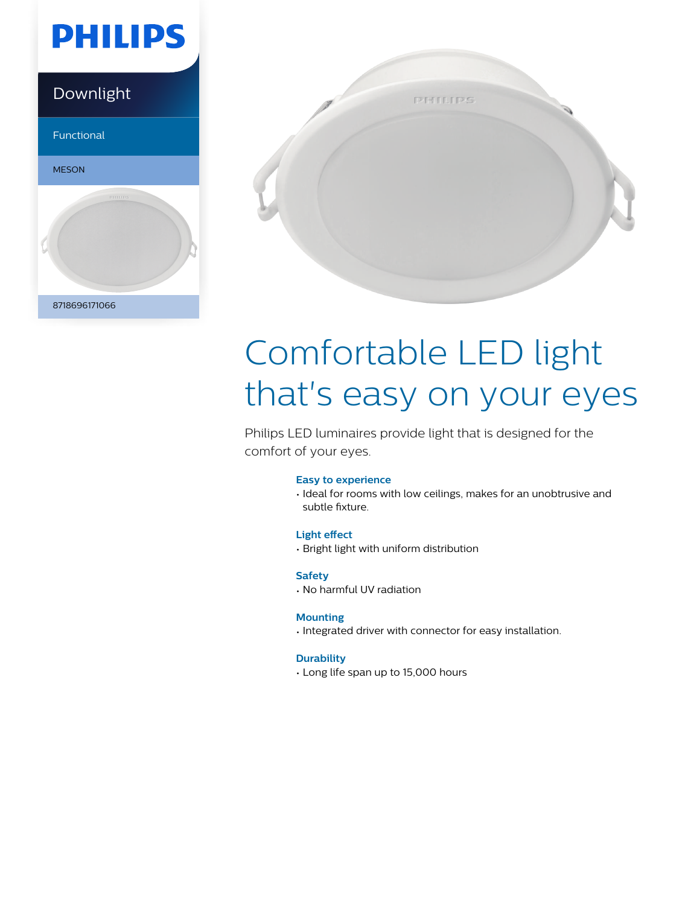

### Downlight

Functional





# Comfortable LED light that's easy on your eyes

Philips LED luminaires provide light that is designed for the comfort of your eyes.

#### **Easy to experience**

• Ideal for rooms with low ceilings, makes for an unobtrusive and subtle fixture.

#### **Light effect**

• Bright light with uniform distribution

#### **Safety**

• No harmful UV radiation

#### **Mounting**

• Integrated driver with connector for easy installation.

#### **Durability**

• Long life span up to 15,000 hours